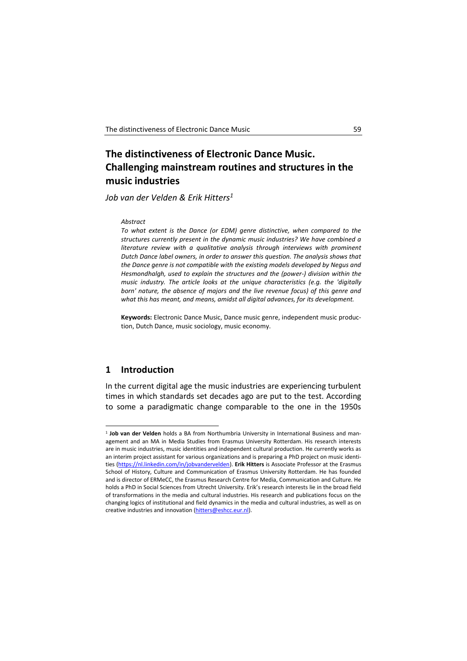# **The distinctiveness of Electronic Dance Music. Challenging mainstream routines and structures in the music industries**

*Job van der Velden & Erik Hitters<sup>1</sup>*

#### *Abstract*

*To what extent is the Dance (or EDM) genre distinctive, when compared to the structures currently present in the dynamic music industries? We have combined a literature review with a qualitative analysis through interviews with prominent Dutch Dance label owners, in order to answer this question. The analysis shows that the Dance genre is not compatible with the existing models developed by Negus and Hesmondhalgh, used to explain the structures and the (power-) division within the music industry. The article looks at the unique characteristics (e.g. the 'digitally born' nature, the absence of majors and the live revenue focus) of this genre and what this has meant, and means, amidst all digital advances, for its development.*

**Keywords:** Electronic Dance Music, Dance music genre, independent music production, Dutch Dance, music sociology, music economy.

## **1 Introduction**

-

In the current digital age the music industries are experiencing turbulent times in which standards set decades ago are put to the test. According to some a paradigmatic change comparable to the one in the 1950s

<sup>1</sup> **Job van der Velden** holds a BA from Northumbria University in International Business and management and an MA in Media Studies from Erasmus University Rotterdam. His research interests are in music industries, music identities and independent cultural production. He currently works as an interim project assistant for various organizations and is preparing a PhD project on music identities [\(https://nl.linkedin.com/in/jobvandervelden\)](https://nl.linkedin.com/in/jobvandervelden). **Erik Hitters** is Associate Professor at the Erasmus School of History, Culture and Communication of Erasmus University Rotterdam. He has founded and is director of ERMeCC, the Erasmus Research Centre for Media, Communication and Culture. He holds a PhD in Social Sciences from Utrecht University. Erik's research interests lie in the broad field of transformations in the media and cultural industries. His research and publications focus on the changing logics of institutional and field dynamics in the media and cultural industries, as well as on creative industries and innovation [\(hitters@eshcc.eur.nl\)](mailto:hitters@eshcc.eur.nl).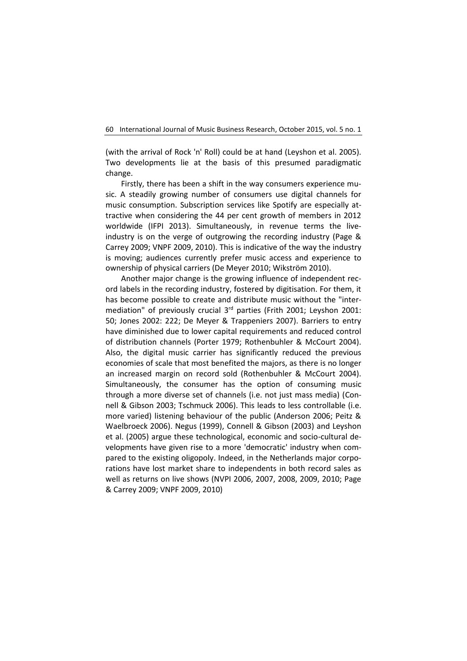(with the arrival of Rock 'n' Roll) could be at hand (Leyshon et al. 2005). Two developments lie at the basis of this presumed paradigmatic change.

Firstly, there has been a shift in the way consumers experience music. A steadily growing number of consumers use digital channels for music consumption. Subscription services like Spotify are especially attractive when considering the 44 per cent growth of members in 2012 worldwide (IFPI 2013). Simultaneously, in revenue terms the liveindustry is on the verge of outgrowing the recording industry (Page & Carrey 2009; VNPF 2009, 2010). This is indicative of the way the industry is moving; audiences currently prefer music access and experience to ownership of physical carriers (De Meyer 2010; Wikström 2010).

Another major change is the growing influence of independent record labels in the recording industry, fostered by digitisation. For them, it has become possible to create and distribute music without the "intermediation" of previously crucial 3<sup>rd</sup> parties (Frith 2001; Leyshon 2001: 50; Jones 2002: 222; De Meyer & Trappeniers 2007). Barriers to entry have diminished due to lower capital requirements and reduced control of distribution channels (Porter 1979; Rothenbuhler & McCourt 2004). Also, the digital music carrier has significantly reduced the previous economies of scale that most benefited the majors, as there is no longer an increased margin on record sold (Rothenbuhler & McCourt 2004). Simultaneously, the consumer has the option of consuming music through a more diverse set of channels (i.e. not just mass media) (Connell & Gibson 2003; Tschmuck 2006). This leads to less controllable (i.e. more varied) listening behaviour of the public (Anderson 2006; Peitz & Waelbroeck 2006). Negus (1999), Connell & Gibson (2003) and Leyshon et al. (2005) argue these technological, economic and socio-cultural developments have given rise to a more 'democratic' industry when compared to the existing oligopoly. Indeed, in the Netherlands major corporations have lost market share to independents in both record sales as well as returns on live shows (NVPI 2006, 2007, 2008, 2009, 2010; Page & Carrey 2009; VNPF 2009, 2010)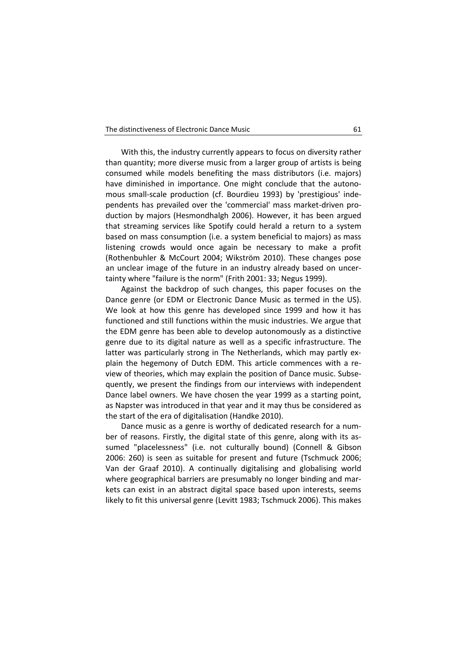With this, the industry currently appears to focus on diversity rather than quantity; more diverse music from a larger group of artists is being consumed while models benefiting the mass distributors (i.e. majors) have diminished in importance. One might conclude that the autonomous small-scale production (cf. Bourdieu 1993) by 'prestigious' independents has prevailed over the 'commercial' mass market-driven production by majors (Hesmondhalgh 2006). However, it has been argued that streaming services like Spotify could herald a return to a system based on mass consumption (i.e. a system beneficial to majors) as mass listening crowds would once again be necessary to make a profit (Rothenbuhler & McCourt 2004; Wikström 2010). These changes pose an unclear image of the future in an industry already based on uncertainty where "failure is the norm" (Frith 2001: 33; Negus 1999).

Against the backdrop of such changes, this paper focuses on the Dance genre (or EDM or Electronic Dance Music as termed in the US). We look at how this genre has developed since 1999 and how it has functioned and still functions within the music industries. We argue that the EDM genre has been able to develop autonomously as a distinctive genre due to its digital nature as well as a specific infrastructure. The latter was particularly strong in The Netherlands, which may partly explain the hegemony of Dutch EDM. This article commences with a review of theories, which may explain the position of Dance music. Subsequently, we present the findings from our interviews with independent Dance label owners. We have chosen the year 1999 as a starting point, as Napster was introduced in that year and it may thus be considered as the start of the era of digitalisation (Handke 2010).

Dance music as a genre is worthy of dedicated research for a number of reasons. Firstly, the digital state of this genre, along with its assumed "placelessness" (i.e. not culturally bound) (Connell & Gibson 2006: 260) is seen as suitable for present and future (Tschmuck 2006; Van der Graaf 2010). A continually digitalising and globalising world where geographical barriers are presumably no longer binding and markets can exist in an abstract digital space based upon interests, seems likely to fit this universal genre (Levitt 1983; Tschmuck 2006). This makes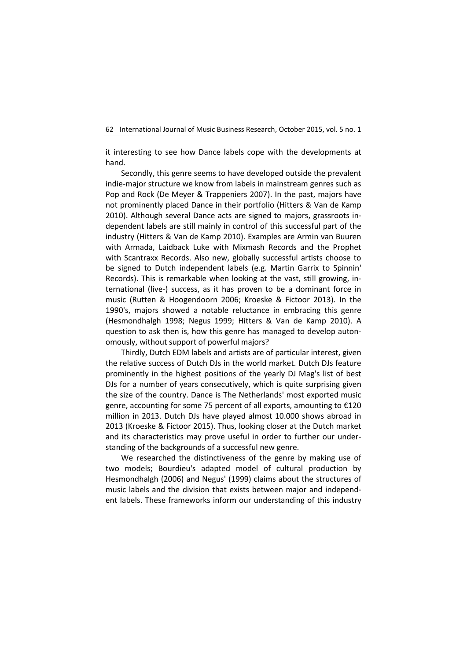it interesting to see how Dance labels cope with the developments at hand.

Secondly, this genre seems to have developed outside the prevalent indie-major structure we know from labels in mainstream genres such as Pop and Rock (De Meyer & Trappeniers 2007). In the past, majors have not prominently placed Dance in their portfolio (Hitters & Van de Kamp 2010). Although several Dance acts are signed to majors, grassroots independent labels are still mainly in control of this successful part of the industry (Hitters & Van de Kamp 2010). Examples are Armin van Buuren with Armada, Laidback Luke with Mixmash Records and the Prophet with Scantraxx Records. Also new, globally successful artists choose to be signed to Dutch independent labels (e.g. Martin Garrix to Spinnin' Records). This is remarkable when looking at the vast, still growing, international (live-) success, as it has proven to be a dominant force in music (Rutten & Hoogendoorn 2006; Kroeske & Fictoor 2013). In the 1990's, majors showed a notable reluctance in embracing this genre (Hesmondhalgh 1998; Negus 1999; Hitters & Van de Kamp 2010). A question to ask then is, how this genre has managed to develop autonomously, without support of powerful majors?

Thirdly, Dutch EDM labels and artists are of particular interest, given the relative success of Dutch DJs in the world market. Dutch DJs feature prominently in the highest positions of the yearly DJ Mag's list of best DJs for a number of years consecutively, which is quite surprising given the size of the country. Dance is The Netherlands' most exported music genre, accounting for some 75 percent of all exports, amounting to €120 million in 2013. Dutch DJs have played almost 10.000 shows abroad in 2013 (Kroeske & Fictoor 2015). Thus, looking closer at the Dutch market and its characteristics may prove useful in order to further our understanding of the backgrounds of a successful new genre.

We researched the distinctiveness of the genre by making use of two models; Bourdieu's adapted model of cultural production by Hesmondhalgh (2006) and Negus' (1999) claims about the structures of music labels and the division that exists between major and independent labels. These frameworks inform our understanding of this industry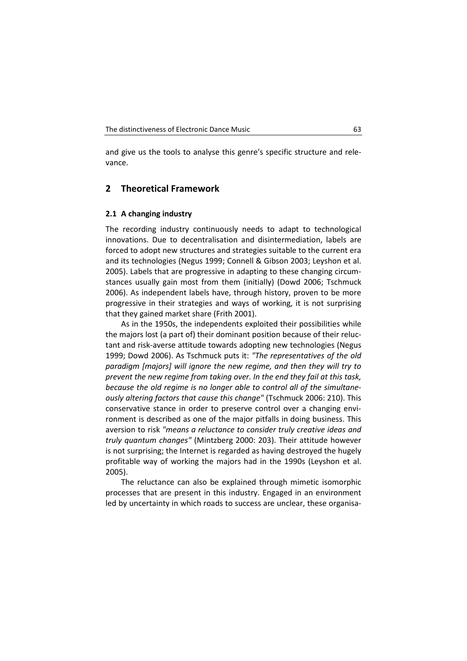and give us the tools to analyse this genre's specific structure and relevance.

## **2 Theoretical Framework**

## **2.1 A changing industry**

The recording industry continuously needs to adapt to technological innovations. Due to decentralisation and disintermediation, labels are forced to adopt new structures and strategies suitable to the current era and its technologies (Negus 1999; Connell & Gibson 2003; Leyshon et al. 2005). Labels that are progressive in adapting to these changing circumstances usually gain most from them (initially) (Dowd 2006; Tschmuck 2006). As independent labels have, through history, proven to be more progressive in their strategies and ways of working, it is not surprising that they gained market share (Frith 2001).

As in the 1950s, the independents exploited their possibilities while the majors lost (a part of) their dominant position because of their reluctant and risk-averse attitude towards adopting new technologies (Negus 1999; Dowd 2006). As Tschmuck puts it: *"The representatives of the old paradigm [majors] will ignore the new regime, and then they will try to prevent the new regime from taking over. In the end they fail at this task, because the old regime is no longer able to control all of the simultaneously altering factors that cause this change"* (Tschmuck 2006: 210). This conservative stance in order to preserve control over a changing environment is described as one of the major pitfalls in doing business. This aversion to risk *"means a reluctance to consider truly creative ideas and truly quantum changes"* (Mintzberg 2000: 203). Their attitude however is not surprising; the Internet is regarded as having destroyed the hugely profitable way of working the majors had in the 1990s (Leyshon et al. 2005).

The reluctance can also be explained through mimetic isomorphic processes that are present in this industry. Engaged in an environment led by uncertainty in which roads to success are unclear, these organisa-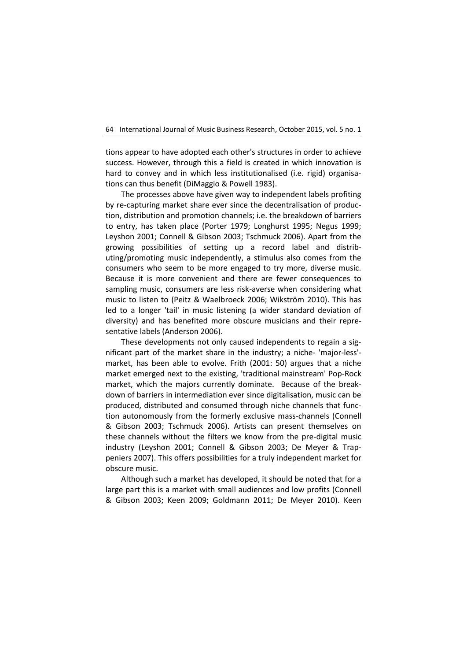tions appear to have adopted each other's structures in order to achieve success. However, through this a field is created in which innovation is hard to convey and in which less institutionalised (i.e. rigid) organisations can thus benefit (DiMaggio & Powell 1983).

The processes above have given way to independent labels profiting by re-capturing market share ever since the decentralisation of production, distribution and promotion channels; i.e. the breakdown of barriers to entry, has taken place (Porter 1979; Longhurst 1995; Negus 1999; Leyshon 2001; Connell & Gibson 2003; Tschmuck 2006). Apart from the growing possibilities of setting up a record label and distributing/promoting music independently, a stimulus also comes from the consumers who seem to be more engaged to try more, diverse music. Because it is more convenient and there are fewer consequences to sampling music, consumers are less risk-averse when considering what music to listen to (Peitz & Waelbroeck 2006; Wikström 2010). This has led to a longer 'tail' in music listening (a wider standard deviation of diversity) and has benefited more obscure musicians and their representative labels (Anderson 2006).

These developments not only caused independents to regain a significant part of the market share in the industry; a niche- 'major-less' market, has been able to evolve. Frith (2001: 50) argues that a niche market emerged next to the existing, 'traditional mainstream' Pop-Rock market, which the majors currently dominate. Because of the breakdown of barriers in intermediation ever since digitalisation, music can be produced, distributed and consumed through niche channels that function autonomously from the formerly exclusive mass-channels (Connell & Gibson 2003; Tschmuck 2006). Artists can present themselves on these channels without the filters we know from the pre-digital music industry (Leyshon 2001; Connell & Gibson 2003; De Meyer & Trappeniers 2007). This offers possibilities for a truly independent market for obscure music.

Although such a market has developed, it should be noted that for a large part this is a market with small audiences and low profits (Connell & Gibson 2003; Keen 2009; Goldmann 2011; De Meyer 2010). Keen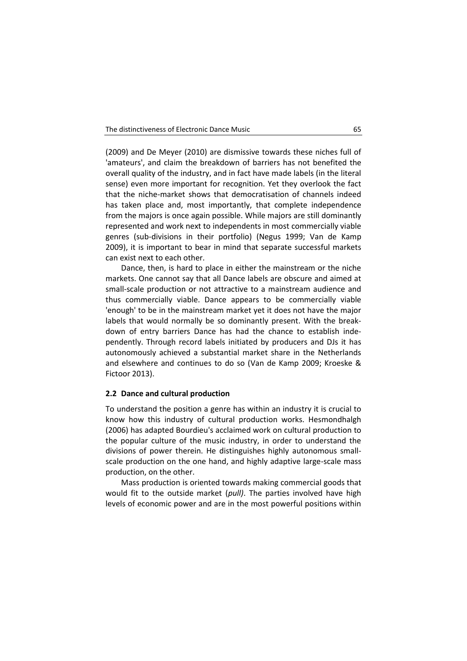(2009) and De Meyer (2010) are dismissive towards these niches full of 'amateurs', and claim the breakdown of barriers has not benefited the overall quality of the industry, and in fact have made labels (in the literal sense) even more important for recognition. Yet they overlook the fact that the niche-market shows that democratisation of channels indeed has taken place and, most importantly, that complete independence from the majors is once again possible. While majors are still dominantly represented and work next to independents in most commercially viable genres (sub-divisions in their portfolio) (Negus 1999; Van de Kamp 2009), it is important to bear in mind that separate successful markets can exist next to each other.

Dance, then, is hard to place in either the mainstream or the niche markets. One cannot say that all Dance labels are obscure and aimed at small-scale production or not attractive to a mainstream audience and thus commercially viable. Dance appears to be commercially viable 'enough' to be in the mainstream market yet it does not have the major labels that would normally be so dominantly present. With the breakdown of entry barriers Dance has had the chance to establish independently. Through record labels initiated by producers and DJs it has autonomously achieved a substantial market share in the Netherlands and elsewhere and continues to do so (Van de Kamp 2009; Kroeske & Fictoor 2013).

## **2.2 Dance and cultural production**

To understand the position a genre has within an industry it is crucial to know how this industry of cultural production works. Hesmondhalgh (2006) has adapted Bourdieu's acclaimed work on cultural production to the popular culture of the music industry, in order to understand the divisions of power therein. He distinguishes highly autonomous smallscale production on the one hand, and highly adaptive large-scale mass production, on the other.

Mass production is oriented towards making commercial goods that would fit to the outside market (*pull)*. The parties involved have high levels of economic power and are in the most powerful positions within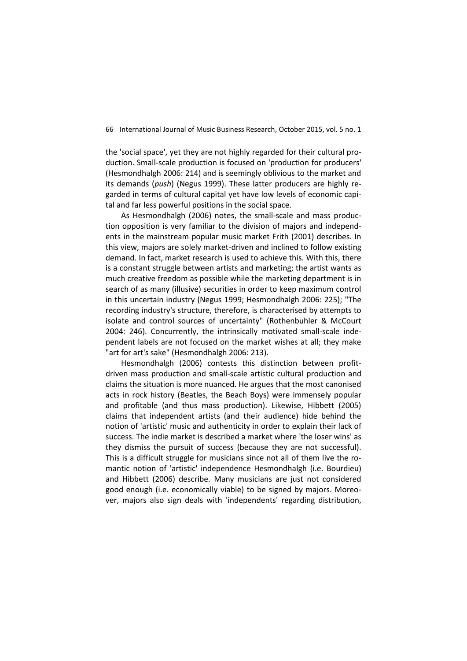the 'social space', yet they are not highly regarded for their cultural production. Small-scale production is focused on 'production for producers' (Hesmondhalgh 2006: 214) and is seemingly oblivious to the market and its demands (*push*) (Negus 1999). These latter producers are highly regarded in terms of cultural capital yet have low levels of economic capital and far less powerful positions in the social space.

As Hesmondhalgh (2006) notes, the small-scale and mass production opposition is very familiar to the division of majors and independents in the mainstream popular music market Frith (2001) describes. In this view, majors are solely market-driven and inclined to follow existing demand. In fact, market research is used to achieve this. With this, there is a constant struggle between artists and marketing; the artist wants as much creative freedom as possible while the marketing department is in search of as many (illusive) securities in order to keep maximum control in this uncertain industry (Negus 1999; Hesmondhalgh 2006: 225); "The recording industry's structure, therefore, is characterised by attempts to isolate and control sources of uncertainty" (Rothenbuhler & McCourt 2004: 246). Concurrently, the intrinsically motivated small-scale independent labels are not focused on the market wishes at all; they make "art for art's sake" (Hesmondhalgh 2006: 213).

Hesmondhalgh (2006) contests this distinction between profitdriven mass production and small-scale artistic cultural production and claims the situation is more nuanced. He argues that the most canonised acts in rock history (Beatles, the Beach Boys) were immensely popular and profitable (and thus mass production). Likewise, Hibbett (2005) claims that independent artists (and their audience) hide behind the notion of 'artistic' music and authenticity in order to explain their lack of success. The indie market is described a market where 'the loser wins' as they dismiss the pursuit of success (because they are not successful). This is a difficult struggle for musicians since not all of them live the romantic notion of 'artistic' independence Hesmondhalgh (i.e. Bourdieu) and Hibbett (2006) describe. Many musicians are just not considered good enough (i.e. economically viable) to be signed by majors. Moreover, majors also sign deals with 'independents' regarding distribution,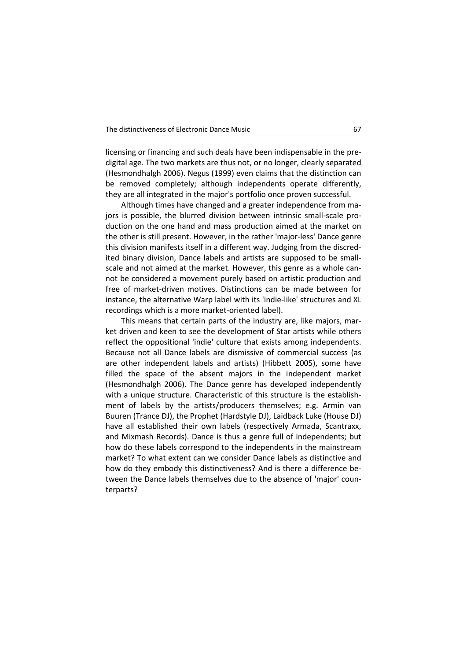licensing or financing and such deals have been indispensable in the predigital age. The two markets are thus not, or no longer, clearly separated (Hesmondhalgh 2006). Negus (1999) even claims that the distinction can be removed completely; although independents operate differently, they are all integrated in the major's portfolio once proven successful.

Although times have changed and a greater independence from majors is possible, the blurred division between intrinsic small-scale production on the one hand and mass production aimed at the market on the other is still present. However, in the rather 'major-less' Dance genre this division manifests itself in a different way. Judging from the discredited binary division, Dance labels and artists are supposed to be smallscale and not aimed at the market. However, this genre as a whole cannot be considered a movement purely based on artistic production and free of market-driven motives. Distinctions can be made between for instance, the alternative Warp label with its 'indie-like' structures and XL recordings which is a more market-oriented label).

This means that certain parts of the industry are, like majors, market driven and keen to see the development of Star artists while others reflect the oppositional 'indie' culture that exists among independents. Because not all Dance labels are dismissive of commercial success (as are other independent labels and artists) (Hibbett 2005), some have filled the space of the absent majors in the independent market (Hesmondhalgh 2006). The Dance genre has developed independently with a unique structure. Characteristic of this structure is the establishment of labels by the artists/producers themselves; e.g. Armin van Buuren (Trance DJ), the Prophet (Hardstyle DJ), Laidback Luke (House DJ) have all established their own labels (respectively Armada, Scantraxx, and Mixmash Records). Dance is thus a genre full of independents; but how do these labels correspond to the independents in the mainstream market? To what extent can we consider Dance labels as distinctive and how do they embody this distinctiveness? And is there a difference between the Dance labels themselves due to the absence of 'major' counterparts?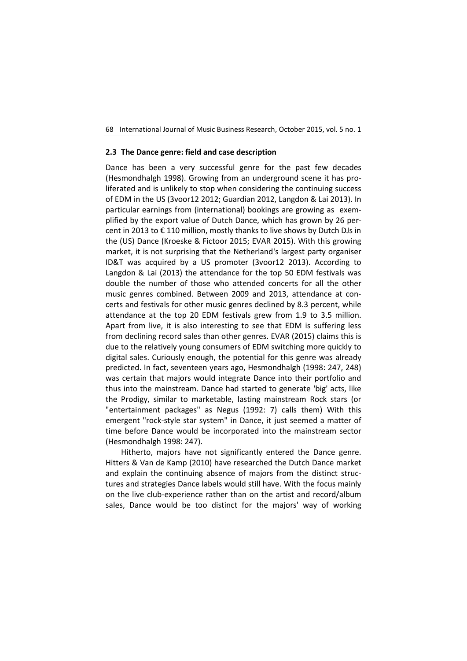## **2.3 The Dance genre: field and case description**

Dance has been a very successful genre for the past few decades (Hesmondhalgh 1998). Growing from an underground scene it has proliferated and is unlikely to stop when considering the continuing success of EDM in the US (3voor12 2012; Guardian 2012, Langdon & Lai 2013). In particular earnings from (international) bookings are growing as exemplified by the export value of Dutch Dance, which has grown by 26 percent in 2013 to € 110 million, mostly thanks to live shows by Dutch DJs in the (US) Dance (Kroeske & Fictoor 2015; EVAR 2015). With this growing market, it is not surprising that the Netherland's largest party organiser ID&T was acquired by a US promoter (3voor12 2013). According to Langdon & Lai (2013) the attendance for the top 50 EDM festivals was double the number of those who attended concerts for all the other music genres combined. Between 2009 and 2013, attendance at concerts and festivals for other music genres declined by 8.3 percent, while attendance at the top 20 EDM festivals grew from 1.9 to 3.5 million. Apart from live, it is also interesting to see that EDM is suffering less from declining record sales than other genres. EVAR (2015) claims this is due to the relatively young consumers of EDM switching more quickly to digital sales. Curiously enough, the potential for this genre was already predicted. In fact, seventeen years ago, Hesmondhalgh (1998: 247, 248) was certain that majors would integrate Dance into their portfolio and thus into the mainstream. Dance had started to generate 'big' acts, like the Prodigy, similar to marketable, lasting mainstream Rock stars (or "entertainment packages" as Negus (1992: 7) calls them) With this emergent "rock-style star system" in Dance, it just seemed a matter of time before Dance would be incorporated into the mainstream sector (Hesmondhalgh 1998: 247).

Hitherto, majors have not significantly entered the Dance genre. Hitters & Van de Kamp (2010) have researched the Dutch Dance market and explain the continuing absence of majors from the distinct structures and strategies Dance labels would still have. With the focus mainly on the live club-experience rather than on the artist and record/album sales, Dance would be too distinct for the majors' way of working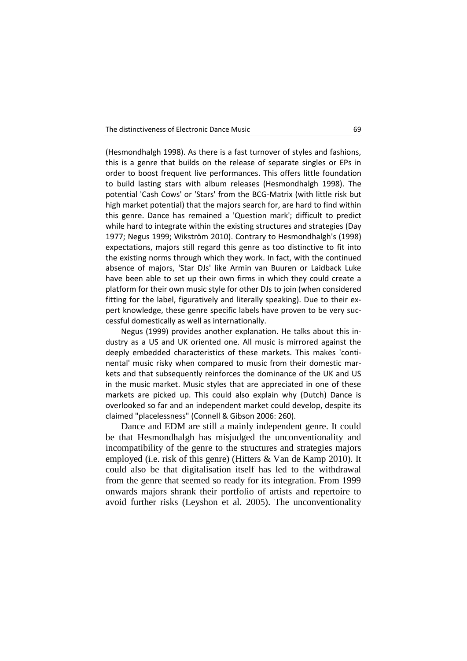(Hesmondhalgh 1998). As there is a fast turnover of styles and fashions, this is a genre that builds on the release of separate singles or EPs in order to boost frequent live performances. This offers little foundation to build lasting stars with album releases (Hesmondhalgh 1998). The potential 'Cash Cows' or 'Stars' from the BCG-Matrix (with little risk but high market potential) that the majors search for, are hard to find within this genre. Dance has remained a 'Question mark'; difficult to predict while hard to integrate within the existing structures and strategies (Day 1977; Negus 1999; Wikström 2010). Contrary to Hesmondhalgh's (1998) expectations, majors still regard this genre as too distinctive to fit into the existing norms through which they work. In fact, with the continued absence of majors, 'Star DJs' like Armin van Buuren or Laidback Luke have been able to set up their own firms in which they could create a platform for their own music style for other DJs to join (when considered fitting for the label, figuratively and literally speaking). Due to their expert knowledge, these genre specific labels have proven to be very successful domestically as well as internationally.

Negus (1999) provides another explanation. He talks about this industry as a US and UK oriented one. All music is mirrored against the deeply embedded characteristics of these markets. This makes 'continental' music risky when compared to music from their domestic markets and that subsequently reinforces the dominance of the UK and US in the music market. Music styles that are appreciated in one of these markets are picked up. This could also explain why (Dutch) Dance is overlooked so far and an independent market could develop, despite its claimed "placelessness" (Connell & Gibson 2006: 260).

Dance and EDM are still a mainly independent genre. It could be that Hesmondhalgh has misjudged the unconventionality and incompatibility of the genre to the structures and strategies majors employed (i.e. risk of this genre) (Hitters & Van de Kamp 2010). It could also be that digitalisation itself has led to the withdrawal from the genre that seemed so ready for its integration. From 1999 onwards majors shrank their portfolio of artists and repertoire to avoid further risks (Leyshon et al. 2005). The unconventionality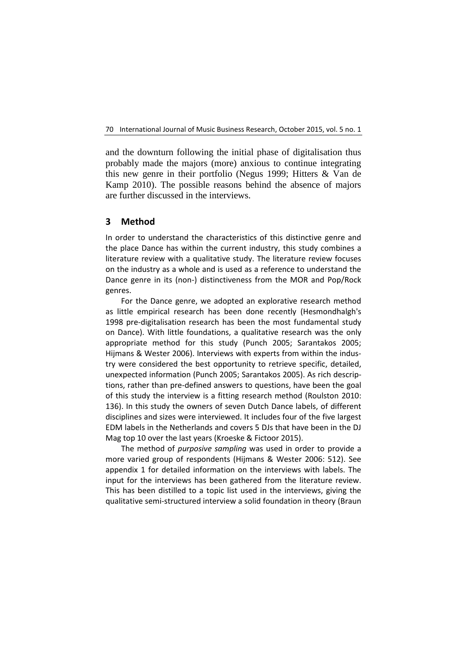and the downturn following the initial phase of digitalisation thus probably made the majors (more) anxious to continue integrating this new genre in their portfolio (Negus 1999; Hitters & Van de Kamp 2010). The possible reasons behind the absence of majors are further discussed in the interviews.

## **3 Method**

In order to understand the characteristics of this distinctive genre and the place Dance has within the current industry, this study combines a literature review with a qualitative study. The literature review focuses on the industry as a whole and is used as a reference to understand the Dance genre in its (non-) distinctiveness from the MOR and Pop/Rock genres.

For the Dance genre, we adopted an explorative research method as little empirical research has been done recently (Hesmondhalgh's 1998 pre-digitalisation research has been the most fundamental study on Dance). With little foundations, a qualitative research was the only appropriate method for this study (Punch 2005; Sarantakos 2005; Hijmans & Wester 2006). Interviews with experts from within the industry were considered the best opportunity to retrieve specific, detailed, unexpected information (Punch 2005; Sarantakos 2005). As rich descriptions, rather than pre-defined answers to questions, have been the goal of this study the interview is a fitting research method (Roulston 2010: 136). In this study the owners of seven Dutch Dance labels, of different disciplines and sizes were interviewed. It includes four of the five largest EDM labels in the Netherlands and covers 5 DJs that have been in the DJ Mag top 10 over the last years (Kroeske & Fictoor 2015).

The method of *purposive sampling* was used in order to provide a more varied group of respondents (Hijmans & Wester 2006: 512). See appendix 1 for detailed information on the interviews with labels. The input for the interviews has been gathered from the literature review. This has been distilled to a topic list used in the interviews, giving the qualitative semi-structured interview a solid foundation in theory (Braun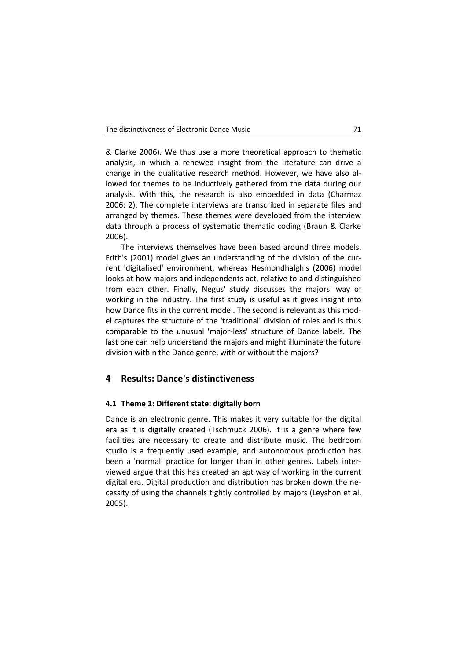& Clarke 2006). We thus use a more theoretical approach to thematic analysis, in which a renewed insight from the literature can drive a change in the qualitative research method. However, we have also allowed for themes to be inductively gathered from the data during our analysis. With this, the research is also embedded in data (Charmaz 2006: 2). The complete interviews are transcribed in separate files and arranged by themes. These themes were developed from the interview data through a process of systematic thematic coding (Braun & Clarke 2006).

The interviews themselves have been based around three models. Frith's (2001) model gives an understanding of the division of the current 'digitalised' environment, whereas Hesmondhalgh's (2006) model looks at how majors and independents act, relative to and distinguished from each other. Finally, Negus' study discusses the majors' way of working in the industry. The first study is useful as it gives insight into how Dance fits in the current model. The second is relevant as this model captures the structure of the 'traditional' division of roles and is thus comparable to the unusual 'major-less' structure of Dance labels. The last one can help understand the majors and might illuminate the future division within the Dance genre, with or without the majors?

## **4 Results: Dance's distinctiveness**

## **4.1 Theme 1: Different state: digitally born**

Dance is an electronic genre. This makes it very suitable for the digital era as it is digitally created (Tschmuck 2006). It is a genre where few facilities are necessary to create and distribute music. The bedroom studio is a frequently used example, and autonomous production has been a 'normal' practice for longer than in other genres. Labels interviewed argue that this has created an apt way of working in the current digital era. Digital production and distribution has broken down the necessity of using the channels tightly controlled by majors (Leyshon et al. 2005).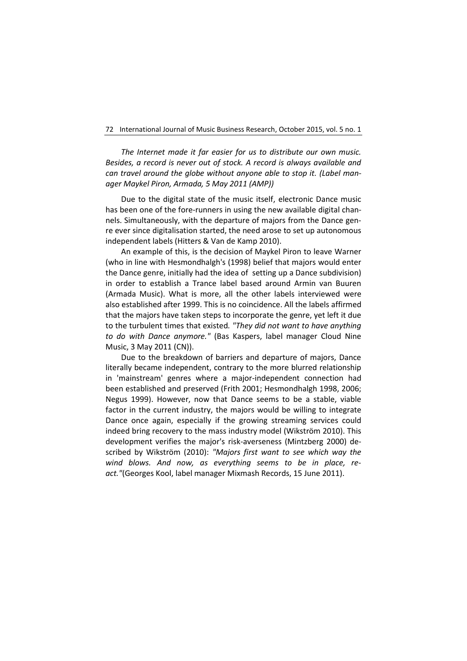*The Internet made it far easier for us to distribute our own music. Besides, a record is never out of stock. A record is always available and can travel around the globe without anyone able to stop it. (Label manager Maykel Piron, Armada, 5 May 2011 (AMP))*

Due to the digital state of the music itself, electronic Dance music has been one of the fore-runners in using the new available digital channels. Simultaneously, with the departure of majors from the Dance genre ever since digitalisation started, the need arose to set up autonomous independent labels (Hitters & Van de Kamp 2010).

An example of this, is the decision of Maykel Piron to leave Warner (who in line with Hesmondhalgh's (1998) belief that majors would enter the Dance genre, initially had the idea of setting up a Dance subdivision) in order to establish a Trance label based around Armin van Buuren (Armada Music). What is more, all the other labels interviewed were also established after 1999. This is no coincidence. All the labels affirmed that the majors have taken steps to incorporate the genre, yet left it due to the turbulent times that existed*. "They did not want to have anything to do with Dance anymore."* (Bas Kaspers, label manager Cloud Nine Music, 3 May 2011 (CN)).

Due to the breakdown of barriers and departure of majors, Dance literally became independent, contrary to the more blurred relationship in 'mainstream' genres where a major-independent connection had been established and preserved (Frith 2001; Hesmondhalgh 1998, 2006; Negus 1999). However, now that Dance seems to be a stable, viable factor in the current industry, the majors would be willing to integrate Dance once again, especially if the growing streaming services could indeed bring recovery to the mass industry model (Wikström 2010). This development verifies the major's risk-averseness (Mintzberg 2000) described by Wikström (2010): *"Majors first want to see which way the wind blows. And now, as everything seems to be in place, react."*(Georges Kool, label manager Mixmash Records, 15 June 2011).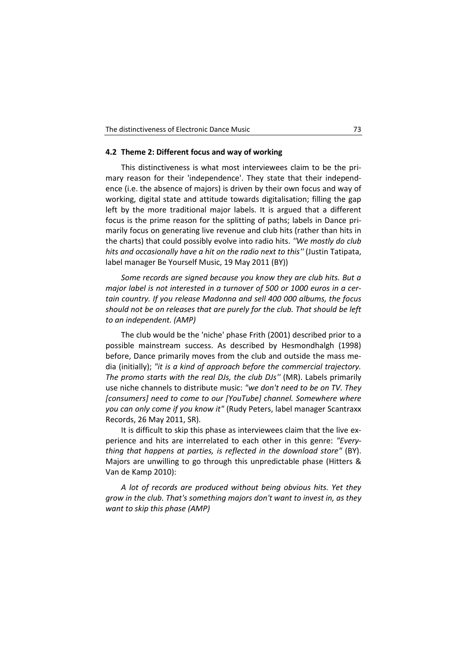## **4.2 Theme 2: Different focus and way of working**

This distinctiveness is what most interviewees claim to be the primary reason for their 'independence'. They state that their independence (i.e. the absence of majors) is driven by their own focus and way of working, digital state and attitude towards digitalisation; filling the gap left by the more traditional major labels. It is argued that a different focus is the prime reason for the splitting of paths; labels in Dance primarily focus on generating live revenue and club hits (rather than hits in the charts) that could possibly evolve into radio hits. *''We mostly do club hits and occasionally have a hit on the radio next to this''* (Justin Tatipata, label manager Be Yourself Music, 19 May 2011 (BY))

*Some records are signed because you know they are club hits. But a major label is not interested in a turnover of 500 or 1000 euros in a certain country. If you release Madonna and sell 400 000 albums, the focus should not be on releases that are purely for the club. That should be left to an independent. (AMP)*

The club would be the 'niche' phase Frith (2001) described prior to a possible mainstream success. As described by Hesmondhalgh (1998) before, Dance primarily moves from the club and outside the mass media (initially); *"it is a kind of approach before the commercial trajectory. The promo starts with the real DJs, the club DJs''* (MR). Labels primarily use niche channels to distribute music: *"we don't need to be on TV. They [consumers] need to come to our [YouTube] channel. Somewhere where you can only come if you know it"* (Rudy Peters, label manager Scantraxx Records, 26 May 2011, SR).

It is difficult to skip this phase as interviewees claim that the live experience and hits are interrelated to each other in this genre: *"Everything that happens at parties, is reflected in the download store"* (BY). Majors are unwilling to go through this unpredictable phase (Hitters & Van de Kamp 2010):

*A lot of records are produced without being obvious hits. Yet they grow in the club. That's something majors don't want to invest in, as they want to skip this phase (AMP)*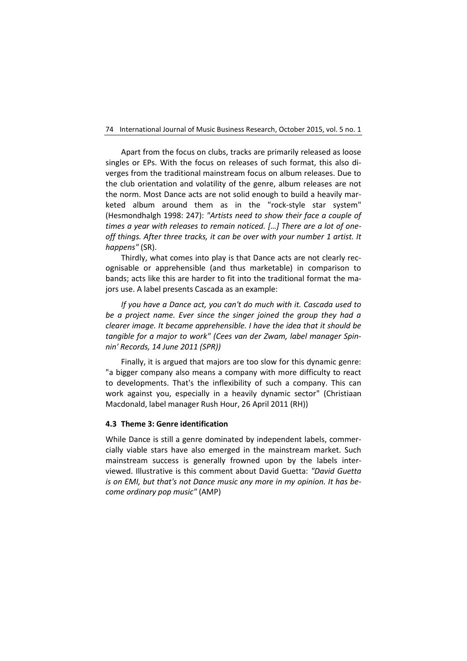Apart from the focus on clubs, tracks are primarily released as loose singles or EPs. With the focus on releases of such format, this also diverges from the traditional mainstream focus on album releases. Due to the club orientation and volatility of the genre, album releases are not the norm. Most Dance acts are not solid enough to build a heavily marketed album around them as in the "rock-style star system" (Hesmondhalgh 1998: 247): *"Artists need to show their face a couple of times a year with releases to remain noticed. […] There are a lot of oneoff things. After three tracks, it can be over with your number 1 artist. It happens"* (SR).

Thirdly, what comes into play is that Dance acts are not clearly recognisable or apprehensible (and thus marketable) in comparison to bands; acts like this are harder to fit into the traditional format the majors use. A label presents Cascada as an example:

*If you have a Dance act, you can't do much with it. Cascada used to be a project name. Ever since the singer joined the group they had a clearer image. It became apprehensible. I have the idea that it should be tangible for a major to work" (Cees van der Zwam, label manager Spinnin' Records, 14 June 2011 (SPR))*

Finally, it is argued that majors are too slow for this dynamic genre: "a bigger company also means a company with more difficulty to react to developments. That's the inflexibility of such a company. This can work against you, especially in a heavily dynamic sector" (Christiaan Macdonald, label manager Rush Hour, 26 April 2011 (RH))

## **4.3 Theme 3: Genre identification**

While Dance is still a genre dominated by independent labels, commercially viable stars have also emerged in the mainstream market. Such mainstream success is generally frowned upon by the labels interviewed. Illustrative is this comment about David Guetta: *"David Guetta is on EMI, but that's not Dance music any more in my opinion. It has become ordinary pop music"* (AMP)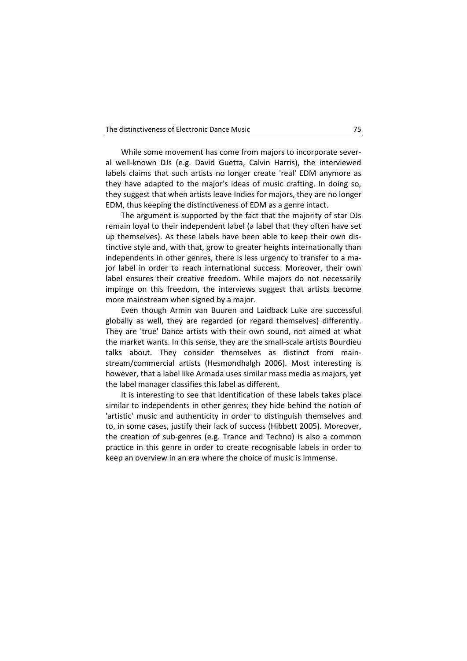| The distinctiveness of Electronic Dance Music |  |
|-----------------------------------------------|--|
|-----------------------------------------------|--|

While some movement has come from majors to incorporate several well-known DJs (e.g. David Guetta, Calvin Harris), the interviewed labels claims that such artists no longer create 'real' EDM anymore as they have adapted to the major's ideas of music crafting. In doing so, they suggest that when artists leave Indies for majors, they are no longer EDM, thus keeping the distinctiveness of EDM as a genre intact.

The argument is supported by the fact that the majority of star DJs remain loyal to their independent label (a label that they often have set up themselves). As these labels have been able to keep their own distinctive style and, with that, grow to greater heights internationally than independents in other genres, there is less urgency to transfer to a major label in order to reach international success. Moreover, their own label ensures their creative freedom. While majors do not necessarily impinge on this freedom, the interviews suggest that artists become more mainstream when signed by a major.

Even though Armin van Buuren and Laidback Luke are successful globally as well, they are regarded (or regard themselves) differently. They are 'true' Dance artists with their own sound, not aimed at what the market wants. In this sense, they are the small-scale artists Bourdieu talks about. They consider themselves as distinct from mainstream/commercial artists (Hesmondhalgh 2006). Most interesting is however, that a label like Armada uses similar mass media as majors, yet the label manager classifies this label as different.

It is interesting to see that identification of these labels takes place similar to independents in other genres; they hide behind the notion of 'artistic' music and authenticity in order to distinguish themselves and to, in some cases, justify their lack of success (Hibbett 2005). Moreover, the creation of sub-genres (e.g. Trance and Techno) is also a common practice in this genre in order to create recognisable labels in order to keep an overview in an era where the choice of music is immense.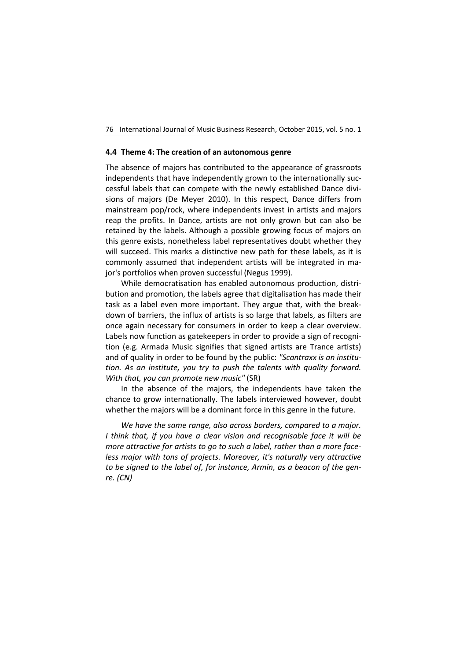## **4.4 Theme 4: The creation of an autonomous genre**

The absence of majors has contributed to the appearance of grassroots independents that have independently grown to the internationally successful labels that can compete with the newly established Dance divisions of majors (De Meyer 2010). In this respect, Dance differs from mainstream pop/rock, where independents invest in artists and majors reap the profits. In Dance, artists are not only grown but can also be retained by the labels. Although a possible growing focus of majors on this genre exists, nonetheless label representatives doubt whether they will succeed. This marks a distinctive new path for these labels, as it is commonly assumed that independent artists will be integrated in major's portfolios when proven successful (Negus 1999).

While democratisation has enabled autonomous production, distribution and promotion, the labels agree that digitalisation has made their task as a label even more important. They argue that, with the breakdown of barriers, the influx of artists is so large that labels, as filters are once again necessary for consumers in order to keep a clear overview. Labels now function as gatekeepers in order to provide a sign of recognition (e.g. Armada Music signifies that signed artists are Trance artists) and of quality in order to be found by the public: *"Scantraxx is an institution. As an institute, you try to push the talents with quality forward. With that, you can promote new music"* (SR)

In the absence of the majors, the independents have taken the chance to grow internationally. The labels interviewed however, doubt whether the majors will be a dominant force in this genre in the future.

*We have the same range, also across borders, compared to a major. I think that, if you have a clear vision and recognisable face it will be more attractive for artists to go to such a label, rather than a more faceless major with tons of projects. Moreover, it's naturally very attractive to be signed to the label of, for instance, Armin, as a beacon of the genre. (CN)*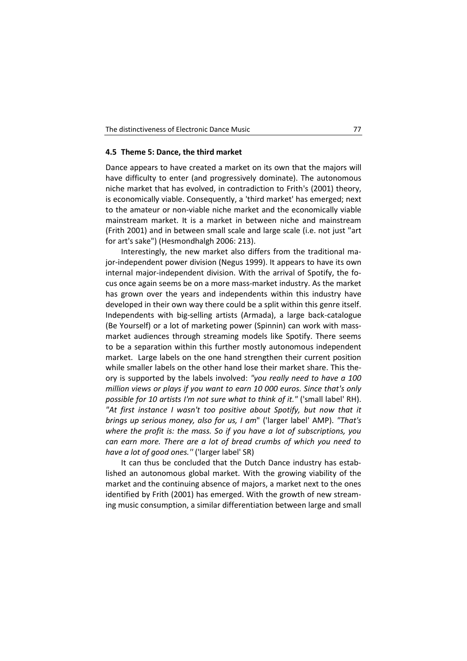## **4.5 Theme 5: Dance, the third market**

Dance appears to have created a market on its own that the majors will have difficulty to enter (and progressively dominate). The autonomous niche market that has evolved, in contradiction to Frith's (2001) theory, is economically viable. Consequently, a 'third market' has emerged; next to the amateur or non-viable niche market and the economically viable mainstream market. It is a market in between niche and mainstream (Frith 2001) and in between small scale and large scale (i.e. not just "art for art's sake") (Hesmondhalgh 2006: 213).

Interestingly, the new market also differs from the traditional major-independent power division (Negus 1999). It appears to have its own internal major-independent division. With the arrival of Spotify, the focus once again seems be on a more mass-market industry. As the market has grown over the years and independents within this industry have developed in their own way there could be a split within this genre itself. Independents with big-selling artists (Armada), a large back-catalogue (Be Yourself) or a lot of marketing power (Spinnin) can work with massmarket audiences through streaming models like Spotify. There seems to be a separation within this further mostly autonomous independent market. Large labels on the one hand strengthen their current position while smaller labels on the other hand lose their market share. This theory is supported by the labels involved: *"you really need to have a 100 million views or plays if you want to earn 10 000 euros. Since that's only possible for 10 artists I'm not sure what to think of it."* ('small label' RH). "At first instance I wasn't too positive about Spotify, but now that it *brings up serious money, also for us, I am*" ('larger label' AMP). *"That's where the profit is: the mass. So if you have a lot of subscriptions, you can earn more. There are a lot of bread crumbs of which you need to have a lot of good ones.''* ('larger label' SR)

It can thus be concluded that the Dutch Dance industry has established an autonomous global market. With the growing viability of the market and the continuing absence of majors, a market next to the ones identified by Frith (2001) has emerged. With the growth of new streaming music consumption, a similar differentiation between large and small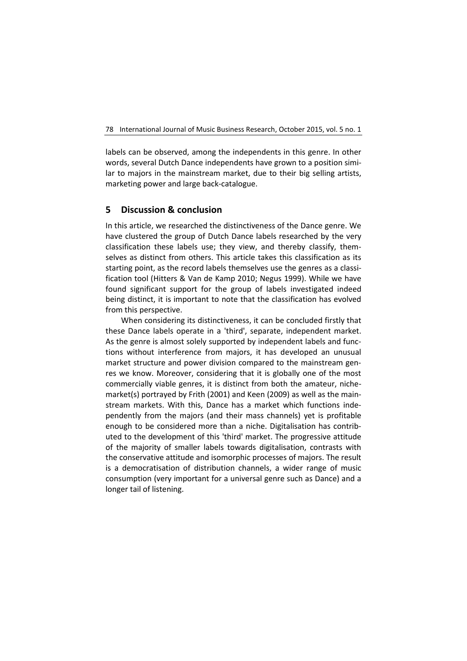labels can be observed, among the independents in this genre. In other words, several Dutch Dance independents have grown to a position similar to majors in the mainstream market, due to their big selling artists, marketing power and large back-catalogue.

## **5 Discussion & conclusion**

In this article, we researched the distinctiveness of the Dance genre. We have clustered the group of Dutch Dance labels researched by the very classification these labels use; they view, and thereby classify, themselves as distinct from others. This article takes this classification as its starting point, as the record labels themselves use the genres as a classification tool (Hitters & Van de Kamp 2010; Negus 1999). While we have found significant support for the group of labels investigated indeed being distinct, it is important to note that the classification has evolved from this perspective.

When considering its distinctiveness, it can be concluded firstly that these Dance labels operate in a 'third', separate, independent market. As the genre is almost solely supported by independent labels and functions without interference from majors, it has developed an unusual market structure and power division compared to the mainstream genres we know. Moreover, considering that it is globally one of the most commercially viable genres, it is distinct from both the amateur, nichemarket(s) portrayed by Frith (2001) and Keen (2009) as well as the mainstream markets. With this, Dance has a market which functions independently from the majors (and their mass channels) yet is profitable enough to be considered more than a niche. Digitalisation has contributed to the development of this 'third' market. The progressive attitude of the majority of smaller labels towards digitalisation, contrasts with the conservative attitude and isomorphic processes of majors. The result is a democratisation of distribution channels, a wider range of music consumption (very important for a universal genre such as Dance) and a longer tail of listening.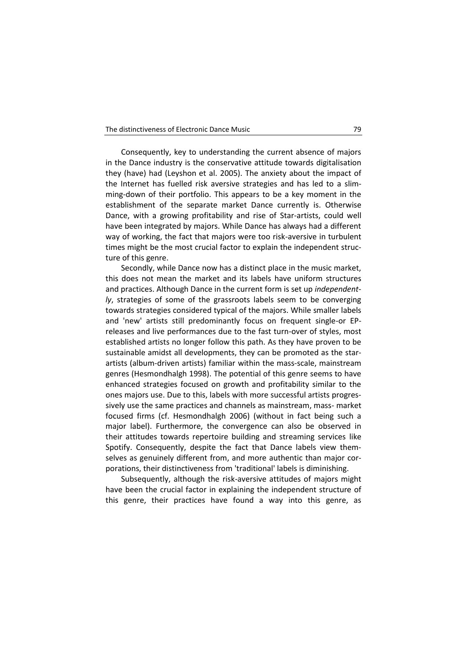Consequently, key to understanding the current absence of majors in the Dance industry is the conservative attitude towards digitalisation they (have) had (Leyshon et al. 2005). The anxiety about the impact of the Internet has fuelled risk aversive strategies and has led to a slimming-down of their portfolio. This appears to be a key moment in the establishment of the separate market Dance currently is. Otherwise Dance, with a growing profitability and rise of Star-artists, could well have been integrated by majors. While Dance has always had a different way of working, the fact that majors were too risk-aversive in turbulent times might be the most crucial factor to explain the independent structure of this genre.

Secondly, while Dance now has a distinct place in the music market, this does not mean the market and its labels have uniform structures and practices. Although Dance in the current form is set up *independently*, strategies of some of the grassroots labels seem to be converging towards strategies considered typical of the majors. While smaller labels and 'new' artists still predominantly focus on frequent single-or EPreleases and live performances due to the fast turn-over of styles, most established artists no longer follow this path. As they have proven to be sustainable amidst all developments, they can be promoted as the starartists (album-driven artists) familiar within the mass-scale, mainstream genres (Hesmondhalgh 1998). The potential of this genre seems to have enhanced strategies focused on growth and profitability similar to the ones majors use. Due to this, labels with more successful artists progressively use the same practices and channels as mainstream, mass- market focused firms (cf. Hesmondhalgh 2006) (without in fact being such a major label). Furthermore, the convergence can also be observed in their attitudes towards repertoire building and streaming services like Spotify. Consequently, despite the fact that Dance labels view themselves as genuinely different from, and more authentic than major corporations, their distinctiveness from 'traditional' labels is diminishing.

Subsequently, although the risk-aversive attitudes of majors might have been the crucial factor in explaining the independent structure of this genre, their practices have found a way into this genre, as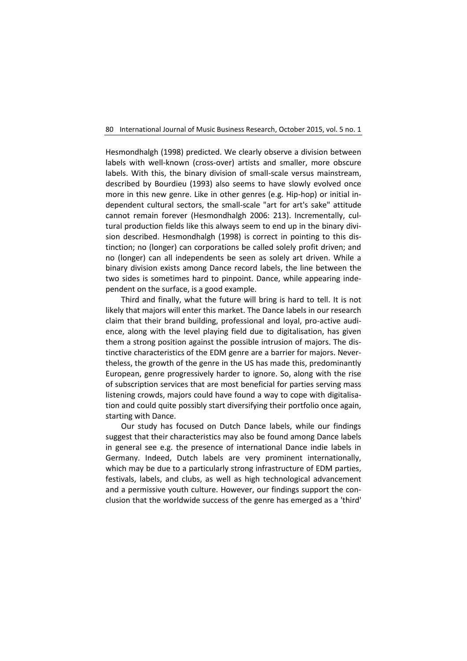Hesmondhalgh (1998) predicted. We clearly observe a division between labels with well-known (cross-over) artists and smaller, more obscure labels. With this, the binary division of small-scale versus mainstream, described by Bourdieu (1993) also seems to have slowly evolved once more in this new genre. Like in other genres (e.g. Hip-hop) or initial independent cultural sectors, the small-scale "art for art's sake" attitude cannot remain forever (Hesmondhalgh 2006: 213). Incrementally, cultural production fields like this always seem to end up in the binary division described. Hesmondhalgh (1998) is correct in pointing to this distinction; no (longer) can corporations be called solely profit driven; and no (longer) can all independents be seen as solely art driven. While a binary division exists among Dance record labels, the line between the two sides is sometimes hard to pinpoint. Dance, while appearing independent on the surface, is a good example.

Third and finally, what the future will bring is hard to tell. It is not likely that majors will enter this market. The Dance labels in our research claim that their brand building, professional and loyal, pro-active audience, along with the level playing field due to digitalisation, has given them a strong position against the possible intrusion of majors. The distinctive characteristics of the EDM genre are a barrier for majors. Nevertheless, the growth of the genre in the US has made this, predominantly European, genre progressively harder to ignore. So, along with the rise of subscription services that are most beneficial for parties serving mass listening crowds, majors could have found a way to cope with digitalisation and could quite possibly start diversifying their portfolio once again, starting with Dance.

Our study has focused on Dutch Dance labels, while our findings suggest that their characteristics may also be found among Dance labels in general see e.g. the presence of international Dance indie labels in Germany. Indeed, Dutch labels are very prominent internationally, which may be due to a particularly strong infrastructure of EDM parties, festivals, labels, and clubs, as well as high technological advancement and a permissive youth culture. However, our findings support the conclusion that the worldwide success of the genre has emerged as a 'third'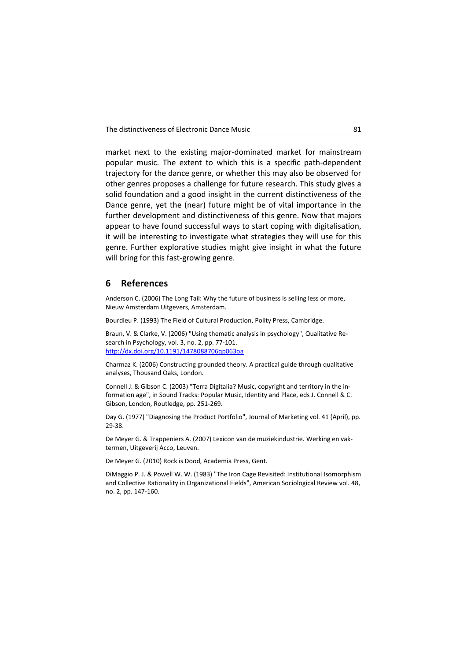market next to the existing major-dominated market for mainstream popular music. The extent to which this is a specific path-dependent trajectory for the dance genre, or whether this may also be observed for other genres proposes a challenge for future research. This study gives a solid foundation and a good insight in the current distinctiveness of the Dance genre, yet the (near) future might be of vital importance in the further development and distinctiveness of this genre. Now that majors appear to have found successful ways to start coping with digitalisation, it will be interesting to investigate what strategies they will use for this genre. Further explorative studies might give insight in what the future will bring for this fast-growing genre.

## **6 References**

Anderson C. (2006) The Long Tail: Why the future of business is selling less or more, Nieuw Amsterdam Uitgevers, Amsterdam.

Bourdieu P. (1993) The Field of Cultural Production, Polity Press, Cambridge.

Braun, V. & Clarke, V. (2006) "Using thematic analysis in psychology", Qualitative Research in Psychology, vol. 3, no. 2, pp. 77-101. <http://dx.doi.org/10.1191/1478088706qp063oa>

Charmaz K. (2006) Constructing grounded theory. A practical guide through qualitative analyses, Thousand Oaks, London.

Connell J. & Gibson C. (2003) "Terra Digitalia? Music, copyright and territory in the information age", in Sound Tracks: Popular Music, Identity and Place, eds J. Connell & C. Gibson, London, Routledge, pp. 251-269.

Day G. (1977) "Diagnosing the Product Portfolio", Journal of Marketing vol. 41 (April), pp. 29-38.

De Meyer G. & Trappeniers A. (2007) Lexicon van de muziekindustrie. Werking en vaktermen, Uitgeverij Acco, Leuven.

De Meyer G. (2010) Rock is Dood, Academia Press, Gent.

DiMaggio P. J. & Powell W. W. (1983) "The Iron Cage Revisited: Institutional Isomorphism and Collective Rationality in Organizational Fields", American Sociological Review vol. 48, no. 2, pp. 147-160.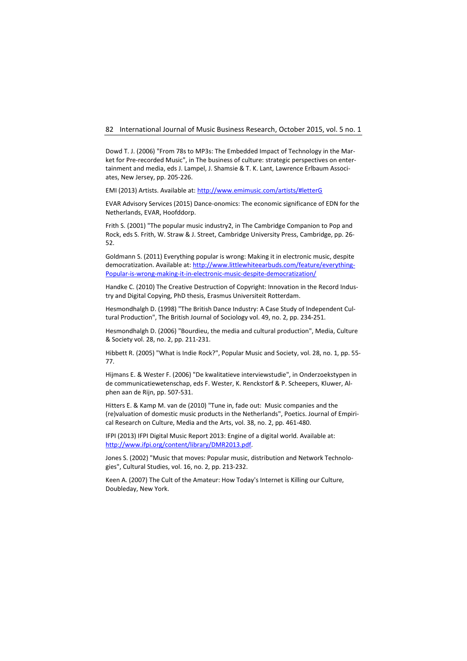Dowd T. J. (2006) "From 78s to MP3s: The Embedded Impact of Technology in the Market for Pre-recorded Music", in The business of culture: strategic perspectives on entertainment and media, eds J. Lampel, J. Shamsie & T. K. Lant, Lawrence Erlbaum Associates, New Jersey, pp. 205-226.

EMI (2013) Artists. Available at[: http://www.emimusic.com/artists/#letterG](http://www.emimusic.com/artists/#letterG)

EVAR Advisory Services (2015) Dance-onomics: The economic significance of EDN for the Netherlands, EVAR, Hoofddorp.

Frith S. (2001) "The popular music industry2, in The Cambridge Companion to Pop and Rock, eds S. Frith, W. Straw & J. Street, Cambridge University Press, Cambridge, pp. 26- 52.

Goldmann S. (2011) Everything popular is wrong: Making it in electronic music, despite democratization. Available at: [http://www.littlewhiteearbuds.com/feature/everything-](http://www.littlewhiteearbuds.com/feature/everything-Popular-is-wrong-making-it-in-electronic-music-despite-democratization/)[Popular-is-wrong-making-it-in-electronic-music-despite-democratization/](http://www.littlewhiteearbuds.com/feature/everything-Popular-is-wrong-making-it-in-electronic-music-despite-democratization/)

Handke C. (2010) The Creative Destruction of Copyright: Innovation in the Record Industry and Digital Copying, PhD thesis, Erasmus Universiteit Rotterdam.

Hesmondhalgh D. (1998) "The British Dance Industry: A Case Study of Independent Cultural Production", The British Journal of Sociology vol. 49, no. 2, pp. 234-251.

Hesmondhalgh D. (2006) "Bourdieu, the media and cultural production", Media, Culture & Society vol. 28, no. 2, pp. 211-231.

Hibbett R. (2005) "What is Indie Rock?", Popular Music and Society, vol. 28, no. 1, pp. 55- 77.

Hijmans E. & Wester F. (2006) "De kwalitatieve interviewstudie", in Onderzoekstypen in de communicatiewetenschap, eds F. Wester, K. Renckstorf & P. Scheepers, Kluwer, Alphen aan de Rijn, pp. 507-531.

Hitters E. & Kamp M. van de (2010) "Tune in, fade out: Music companies and the (re)valuation of domestic music products in the Netherlands", Poetics. Journal of Empirical Research on Culture, Media and the Arts, vol. 38, no. 2, pp. 461-480.

IFPI (2013) IFPI Digital Music Report 2013: Engine of a digital world. Available at: [http://www.ifpi.org/content/library/DMR2013.pdf.](http://www.ifpi.org/content/library/DMR2013.pdf) 

Jones S. (2002) "Music that moves: Popular music, distribution and Network Technologies", Cultural Studies, vol. 16, no. 2, pp. 213-232.

Keen A. (2007) The Cult of the Amateur: How Today's Internet is Killing our Culture, Doubleday, New York.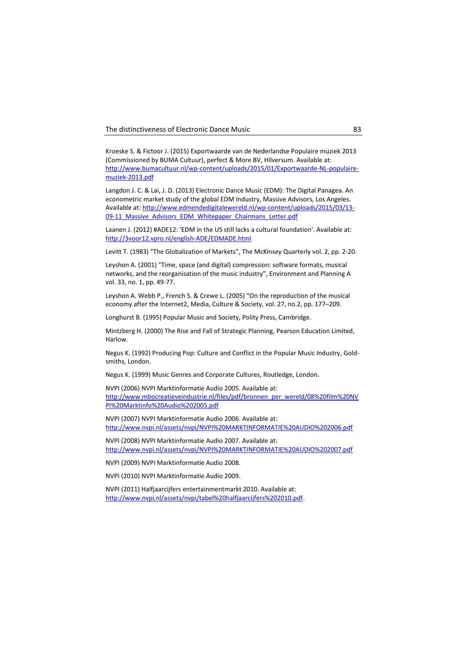Kroeske S. & Fictoor J. (2015) Exportwaarde van de Nederlandse Populaire muziek 2013 (Commissioned by BUMA Cultuur), perfect & More BV, Hilversum. Available at: [http://www.bumacultuur.nl/wp-content/uploads/2015/01/Exportwaarde-NL-populaire](http://www.bumacultuur.nl/wp-content/uploads/2015/01/Exportwaarde-NL-populaire-muziek-2013.pdf)[muziek-2013.pdf](http://www.bumacultuur.nl/wp-content/uploads/2015/01/Exportwaarde-NL-populaire-muziek-2013.pdf)

Langdon J. C. & Lai, J. D. (2013) Electronic Dance Music (EDM): The Digital Panagea. An econometric market study of the global EDM Industry, Massive Advisors, Los Angeles. Available at: [http://www.edmendedigitalewereld.nl/wp-content/uploads/2015/03/13-](http://www.edmendedigitalewereld.nl/wp-content/uploads/2015/03/13-09-11_Massive_Advisors_EDM_Whitepaper_Chairmans_Letter.pdf) 09-11 Massive Advisors EDM Whitepaper Chairmans Letter.pdf

Laanen J. (2012) #ADE12: 'EDM in the US still lacks a cultural foundation'. Available at: <http://3voor12.vpro.nl/english-ADE/EDMADE.html>

Levitt T. (1983) "The Globalization of Markets", The McKinsey Quarterly vol. 2, pp. 2-20.

Leyshon A. (2001) "Time, space (and digital) compression: software formats, musical networks, and the reorganisation of the music industry", Environment and Planning A vol. 33, no. 1, pp. 49-77.

Leyshon A. Webb P., French S. & Crewe L. (2005) "On the reproduction of the musical economy after the Internet2, Media, Culture & Society, vol. 27, no.2, pp. 177–209.

Longhurst B. (1995) Popular Music and Society, Polity Press, Cambridge.

Mintzberg H. (2000) The Rise and Fall of Strategic Planning, Pearson Education Limited, Harlow.

Negus K. (1992) Producing Pop: Culture and Conflict in the Popular Music Industry, Goldsmiths, London.

Negus K. (1999) Music Genres and Corporate Cultures, Routledge, London.

NVPI (2006) NVPI Marktinformatie Audio 2005. Available at: [http://www.mbocreatieveindustrie.nl/files/pdf/bronnen\\_per\\_wereld/08%20film%20NV](http://www.mbocreatieveindustrie.nl/files/pdf/bronnen_per_wereld/08%20film%20NVPI%20Marktinfo%20Audio%202005.pdf) [PI%20Marktinfo%20Audio%202005.pdf](http://www.mbocreatieveindustrie.nl/files/pdf/bronnen_per_wereld/08%20film%20NVPI%20Marktinfo%20Audio%202005.pdf)

NVPI (2007) NVPI Marktinformatie Audio 2006. Available at: <http://www.nvpi.nl/assets/nvpi/NVPI%20MARKTINFORMATIE%20AUDIO%202006.pdf>

NVPI (2008) NVPI Marktinformatie Audio 2007. Available at: <http://www.nvpi.nl/assets/nvpi/NVPI%20MARKTINFORMATIE%20AUDIO%202007.pdf>

NVPI (2009) NVPI Marktinformatie Audio 2008.

NVPI (2010) NVPI Marktinformatie Audio 2009.

NVPI (2011) Halfjaarcijfers entertainmentmarkt 2010. Available at: [http://www.nvpi.nl/assets/nvpi/tabel%20halfjaarcijfers%202010.pdf.](http://www.nvpi.nl/assets/nvpi/tabel%20halfjaarcijfers%202010.pdf)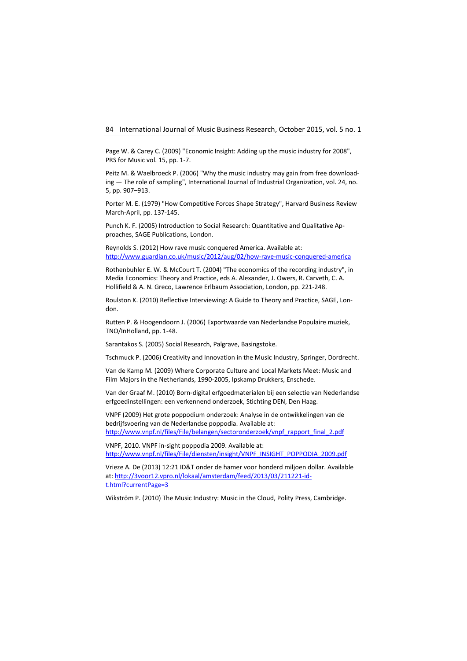Page W. & Carey C. (2009) "Economic Insight: Adding up the music industry for 2008", PRS for Music vol. 15, pp. 1-7.

Peitz M. & Waelbroeck P. (2006) "Why the music industry may gain from free downloading — The role of sampling", International Journal of Industrial Organization, vol. 24, no. 5, pp. 907–913.

Porter M. E. (1979) "How Competitive Forces Shape Strategy", Harvard Business Review March-April, pp. 137-145.

Punch K. F. (2005) Introduction to Social Research: Quantitative and Qualitative Approaches, SAGE Publications, London.

Reynolds S. (2012) How rave music conquered America. Available at: <http://www.guardian.co.uk/music/2012/aug/02/how-rave-music-conquered-america>

Rothenbuhler E. W. & McCourt T. (2004) "The economics of the recording industry", in Media Economics: Theory and Practice, eds A. Alexander, J. Owers, R. Carveth, C. A. Hollifield & A. N. Greco, Lawrence Erlbaum Association, London, pp. 221-248.

Roulston K. (2010) Reflective Interviewing: A Guide to Theory and Practice, SAGE, London.

Rutten P. & Hoogendoorn J. (2006) Exportwaarde van Nederlandse Populaire muziek, TNO/InHolland, pp. 1-48.

Sarantakos S. (2005) Social Research, Palgrave, Basingstoke.

Tschmuck P. (2006) Creativity and Innovation in the Music Industry, Springer, Dordrecht.

Van de Kamp M. (2009) Where Corporate Culture and Local Markets Meet: Music and Film Majors in the Netherlands, 1990-2005, Ipskamp Drukkers, Enschede.

Van der Graaf M. (2010) Born‐digital erfgoedmaterialen bij een selectie van Nederlandse erfgoedinstellingen: een verkennend onderzoek, Stichting DEN, Den Haag.

VNPF (2009) Het grote poppodium onderzoek: Analyse in de ontwikkelingen van de bedrijfsvoering van de Nederlandse poppodia. Available at: [http://www.vnpf.nl/files/File/belangen/sectoronderzoek/vnpf\\_rapport\\_final\\_2.pdf](http://www.vnpf.nl/files/File/belangen/sectoronderzoek/vnpf_rapport_final_2.pdf)

VNPF, 2010. VNPF in-sight poppodia 2009. Available at: [http://www.vnpf.nl/files/File/diensten/insight/VNPF\\_INSIGHT\\_POPPODIA\\_2009.pdf](http://www.vnpf.nl/files/File/diensten/insight/VNPF_INSIGHT_POPPODIA_2009.pdf)

Vrieze A. De (2013) 12:21 ID&T onder de hamer voor honderd miljoen dollar. Available at: [http://3voor12.vpro.nl/lokaal/amsterdam/feed/2013/03/211221-id](http://3voor12.vpro.nl/lokaal/amsterdam/feed/2013/03/211221-id-t.html?currentPage=3)[t.html?currentPage=3](http://3voor12.vpro.nl/lokaal/amsterdam/feed/2013/03/211221-id-t.html?currentPage=3)

Wikström P. (2010) The Music Industry: Music in the Cloud, Polity Press, Cambridge.